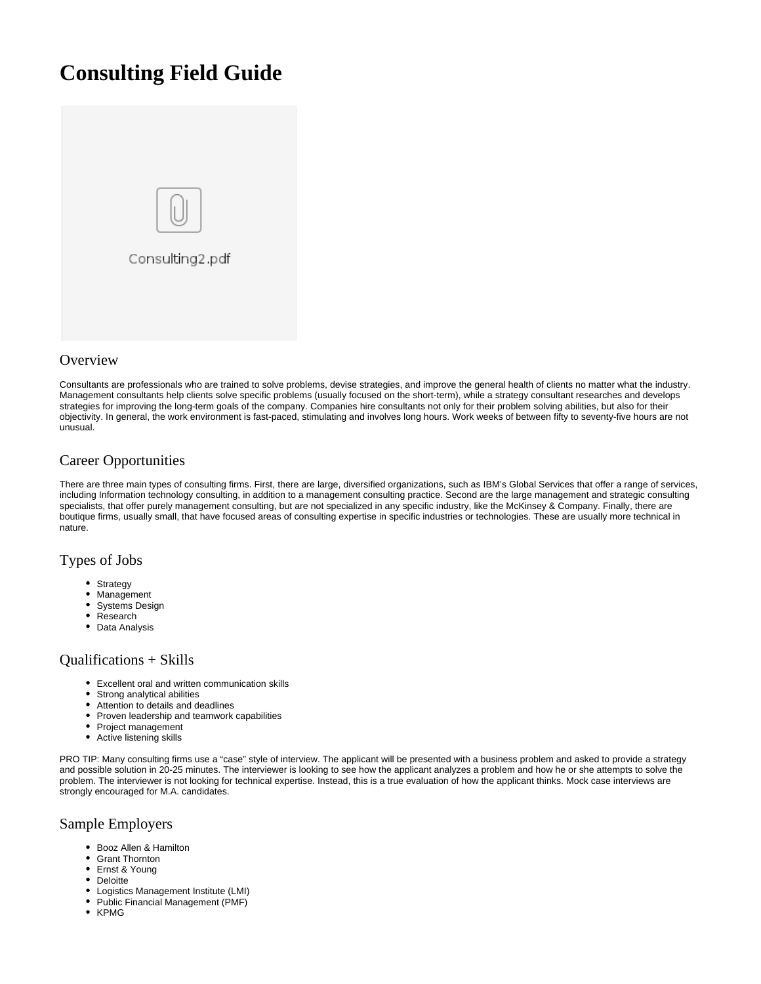# **Consulting Field Guide**



# **Overview**

Consultants are professionals who are trained to solve problems, devise strategies, and improve the general health of clients no matter what the industry. Management consultants help clients solve specific problems (usually focused on the short-term), while a strategy consultant researches and develops strategies for improving the long-term goals of the company. Companies hire consultants not only for their problem solving abilities, but also for their objectivity. In general, the work environment is fast-paced, stimulating and involves long hours. Work weeks of between fifty to seventy-five hours are not unusual.

# Career Opportunities

There are three main types of consulting firms. First, there are large, diversified organizations, such as IBM's Global Services that offer a range of services, including Information technology consulting, in addition to a management consulting practice. Second are the large management and strategic consulting specialists, that offer purely management consulting, but are not specialized in any specific industry, like the McKinsey & Company. Finally, there are boutique firms, usually small, that have focused areas of consulting expertise in specific industries or technologies. These are usually more technical in nature.

# Types of Jobs

- $\bullet$ **Strategy**
- Management
- Systems Design
- Research
- Data Analysis

#### Qualifications + Skills

- Excellent oral and written communication skills
- $\bullet$ Strong analytical abilities
- $\bullet$ Attention to details and deadlines
- Proven leadership and teamwork capabilities
- Project management
- Active listening skills

PRO TIP: Many consulting firms use a "case" style of interview. The applicant will be presented with a business problem and asked to provide a strategy and possible solution in 20-25 minutes. The interviewer is looking to see how the applicant analyzes a problem and how he or she attempts to solve the problem. The interviewer is not looking for technical expertise. Instead, this is a true evaluation of how the applicant thinks. Mock case interviews are strongly encouraged for M.A. candidates.

# Sample Employers

- Booz Allen & Hamilton
- Grant Thornton  $\bullet$
- Ernst & Young
- Deloitte
- Logistics Management Institute (LMI)
- Public Financial Management (PMF)
- KPMG